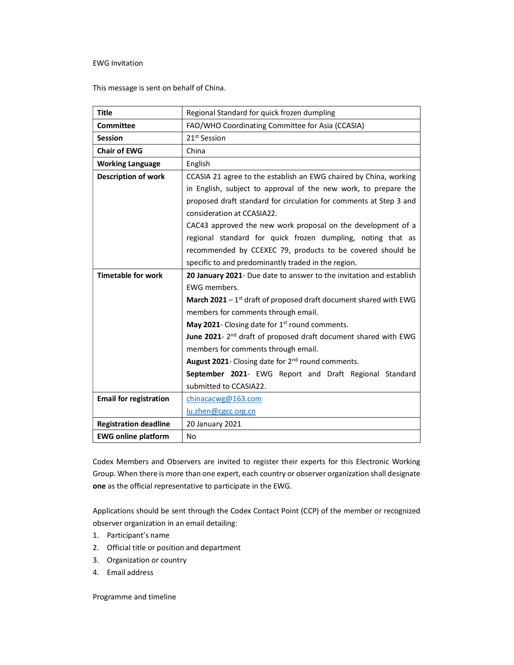## EWG Invitation

This message is sent on behalf of China.

| <b>Title</b>                  | Regional Standard for quick frozen dumpling                                |
|-------------------------------|----------------------------------------------------------------------------|
| <b>Committee</b>              | FAO/WHO Coordinating Committee for Asia (CCASIA)                           |
| <b>Session</b>                | 21 <sup>st</sup> Session                                                   |
| <b>Chair of EWG</b>           | China                                                                      |
| <b>Working Language</b>       | English                                                                    |
| <b>Description of work</b>    | CCASIA 21 agree to the establish an EWG chaired by China, working          |
|                               | in English, subject to approval of the new work, to prepare the            |
|                               | proposed draft standard for circulation for comments at Step 3 and         |
|                               | consideration at CCASIA22.                                                 |
|                               | CAC43 approved the new work proposal on the development of a               |
|                               | regional standard for quick frozen dumpling, noting that as                |
|                               | recommended by CCEXEC 79, products to be covered should be                 |
|                               | specific to and predominantly traded in the region.                        |
| <b>Timetable for work</b>     | 20 January 2021- Due date to answer to the invitation and establish        |
|                               | EWG members.                                                               |
|                               | March $2021 - 1st$ draft of proposed draft document shared with EWG        |
|                               | members for comments through email.                                        |
|                               | May 2021- Closing date for 1 <sup>st</sup> round comments.                 |
|                               | June 2021-2 <sup>nd</sup> draft of proposed draft document shared with EWG |
|                               | members for comments through email.                                        |
|                               | August 2021- Closing date for 2 <sup>nd</sup> round comments.              |
|                               | September 2021- EWG Report and Draft Regional Standard                     |
|                               | submitted to CCASIA22.                                                     |
| <b>Email for registration</b> | chinacacwg@163.com                                                         |
|                               | lu.zhen@cgcc.org.cn                                                        |
| <b>Registration deadline</b>  | 20 January 2021                                                            |
| <b>EWG online platform</b>    | <b>No</b>                                                                  |

Codex Members and Observers are invited to register their experts for this Electronic Working Group. When there is more than one expert, each country or observer organization shall designate one as the official representative to participate in the EWG.

Applications should be sent through the Codex Contact Point (CCP) of the member or recognized observer organization in an email detailing:

- 1. Participant's name
- 2. Official title or position and department
- 3. Organization or country
- 4. Email address

Programme and timeline